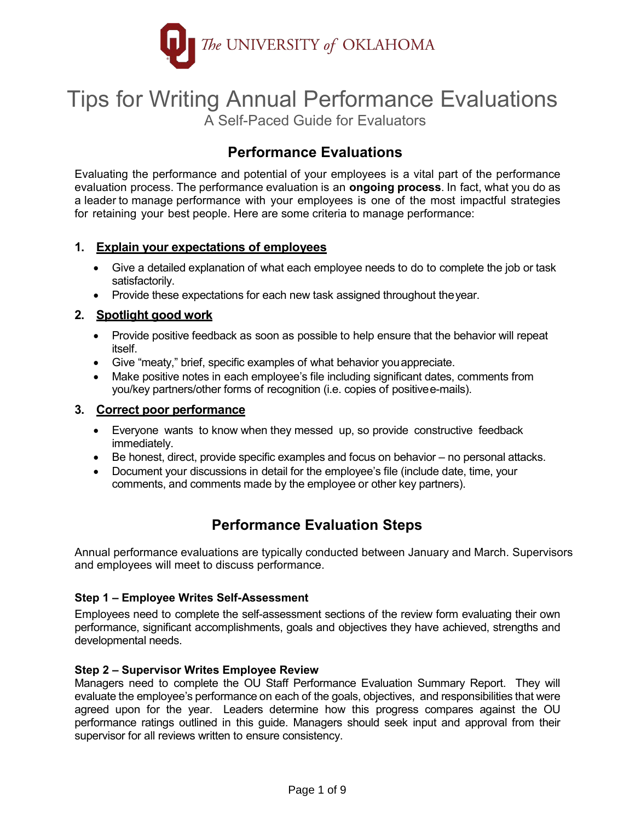

# Tips for Writing Annual Performance Evaluations

A Self-Paced Guide for Evaluators

# **Performance Evaluations**

Evaluating the performance and potential of your employees is a vital part of the performance evaluation process. The performance evaluation is an **ongoing process**. In fact, what you do as a leader to manage performance with your employees is one of the most impactful strategies for retaining your best people. Here are some criteria to manage performance:

### **1. Explain your expectations of employees**

- Give a detailed explanation of what each employee needs to do to complete the job or task satisfactorily.
- Provide these expectations for each new task assigned throughout the year.

### **2. Spotlight good work**

- Provide positive feedback as soon as possible to help ensure that the behavior will repeat itself.
- Give "meaty," brief, specific examples of what behavior youappreciate.
- Make positive notes in each employee's file including significant dates, comments from you/key partners/other forms of recognition (i.e. copies of positivee-mails).

### **3. Correct poor performance**

- Everyone wants to know when they messed up, so provide constructive feedback immediately.
- Be honest, direct, provide specific examples and focus on behavior no personal attacks.
- Document your discussions in detail for the employee's file (include date, time, your comments, and comments made by the employee or other key partners).

# **Performance Evaluation Steps**

Annual performance evaluations are typically conducted between January and March. Supervisors and employees will meet to discuss performance.

### **Step 1 – Employee Writes Self-Assessment**

Employees need to complete the self-assessment sections of the review form evaluating their own performance, significant accomplishments, goals and objectives they have achieved, strengths and developmental needs.

### **Step 2 – Supervisor Writes Employee Review**

Managers need to complete the OU Staff Performance Evaluation Summary Report. They will evaluate the employee's performance on each of the goals, objectives, and responsibilities that were agreed upon for the year. Leaders determine how this progress compares against the OU performance ratings outlined in this guide. Managers should seek input and approval from their supervisor for all reviews written to ensure consistency.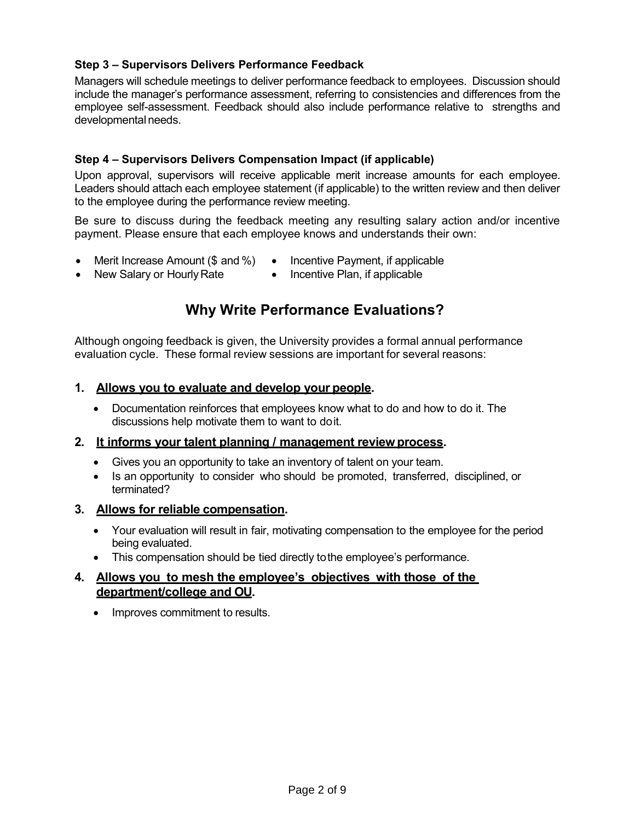### **Step 3 – Supervisors Delivers Performance Feedback**

Managers will schedule meetings to deliver performance feedback to employees. Discussion should include the manager's performance assessment, referring to consistencies and differences from the employee self-assessment. Feedback should also include performance relative to strengths and developmental needs.

### **Step 4 – Supervisors Delivers Compensation Impact (if applicable)**

Upon approval, supervisors will receive applicable merit increase amounts for each employee. Leaders should attach each employee statement (if applicable) to the written review and then deliver to the employee during the performance review meeting.

Be sure to discuss during the feedback meeting any resulting salary action and/or incentive payment. Please ensure that each employee knows and understands their own:

- Merit Increase Amount (\$ and %) Incentive Payment, if applicable
- New Salary or Hourly Rate
- 
- Incentive Plan, if applicable

### **Why Write Performance Evaluations?**

Although ongoing feedback is given, the University provides a formal annual performance evaluation cycle. These formal review sessions are important for several reasons:

#### **1. Allows you to evaluate and develop your people.**

• Documentation reinforces that employees know what to do and how to do it. The discussions help motivate them to want to do it.

### **2. It informs your talent planning / management review process.**

- Gives you an opportunity to take an inventory of talent on your team.
- Is an opportunity to consider who should be promoted, transferred, disciplined, or terminated?

### **3. Allows for reliable compensation.**

- Your evaluation will result in fair, motivating compensation to the employee for the period being evaluated.
- This compensation should be tied directly to the employee's performance.

### **4. Allows you to mesh the employee's objectives with those of the department/college and OU.**

• Improves commitment to results.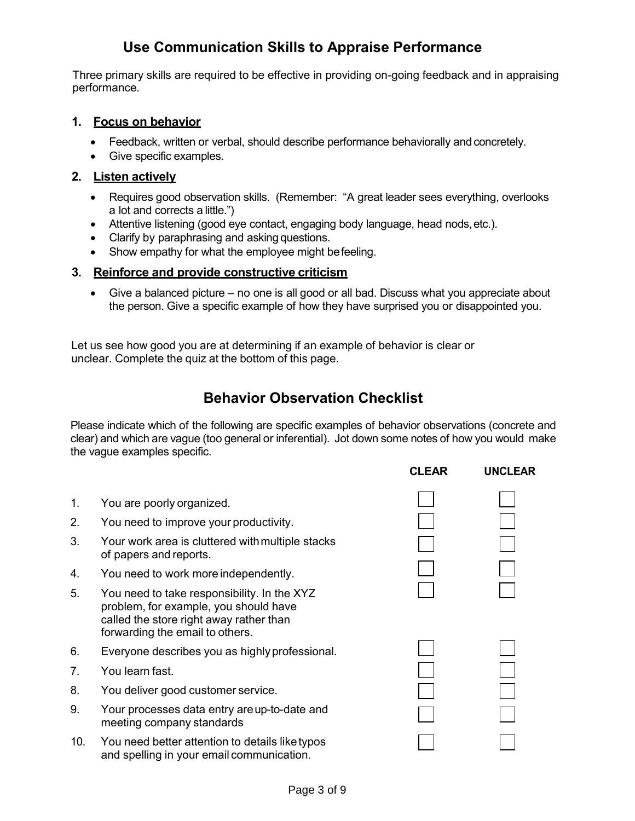# **Use Communication Skills to Appraise Performance**

Three primary skills are required to be effective in providing on-going feedback and in appraising performance.

### **1. Focus on behavior**

- Feedback, written or verbal, should describe performance behaviorally and concretely.
- Give specific examples.

### **2. Listen actively**

- Requires good observation skills. (Remember: "A great leader sees everything, overlooks a lot and corrects a little.")
- Attentive listening (good eye contact, engaging body language, head nods, etc.).
- Clarify by paraphrasing and asking questions.
- Show empathy for what the employee might be feeling.

### **3. Reinforce and provide constructive criticism**

• Give a balanced picture – no one is all good or all bad. Discuss what you appreciate about the person. Give a specific example of how they have surprised you or disappointed you.

Let us see how good you are at determining if an example of behavior is clear or unclear. Complete the quiz at the bottom of this page.

### **Behavior Observation Checklist**

Please indicate which of the following are specific examples of behavior observations (concrete and clear) and which are vague (too general or inferential). Jot down some notes of how you would make the vague examples specific.

**CLEAR UNCLEAR**

| 1.  | You are poorly organized.                                                                                                                                          |  |
|-----|--------------------------------------------------------------------------------------------------------------------------------------------------------------------|--|
| 2.  | You need to improve your productivity.                                                                                                                             |  |
| 3.  | Your work area is cluttered with multiple stacks<br>of papers and reports.                                                                                         |  |
| 4.  | You need to work more independently.                                                                                                                               |  |
| 5.  | You need to take responsibility. In the XYZ<br>problem, for example, you should have<br>called the store right away rather than<br>forwarding the email to others. |  |
| 6.  | Everyone describes you as highly professional.                                                                                                                     |  |
| 7.  | You learn fast.                                                                                                                                                    |  |
| 8.  | You deliver good customer service.                                                                                                                                 |  |
| 9.  | Your processes data entry are up-to-date and<br>meeting company standards                                                                                          |  |
| 10. | You need better attention to details like typos<br>and spelling in your email communication.                                                                       |  |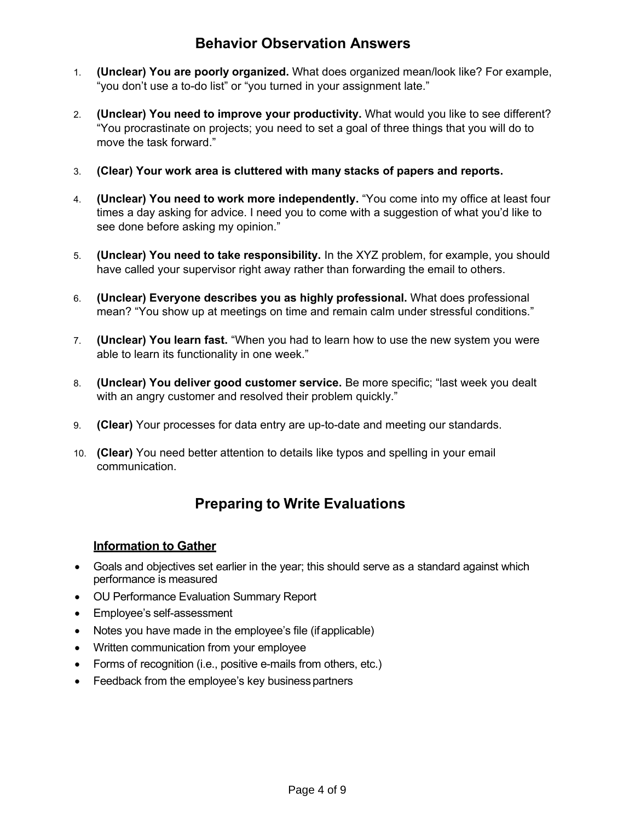### **Behavior Observation Answers**

- 1. **(Unclear) You are poorly organized.** What does organized mean/look like? For example, "you don't use a to-do list" or "you turned in your assignment late."
- 2. **(Unclear) You need to improve your productivity.** What would you like to see different? "You procrastinate on projects; you need to set a goal of three things that you will do to move the task forward."
- 3. **(Clear) Your work area is cluttered with many stacks of papers and reports.**
- 4. **(Unclear) You need to work more independently.** "You come into my office at least four times a day asking for advice. I need you to come with a suggestion of what you'd like to see done before asking my opinion."
- 5. **(Unclear) You need to take responsibility.** In the XYZ problem, for example, you should have called your supervisor right away rather than forwarding the email to others.
- 6. **(Unclear) Everyone describes you as highly professional.** What does professional mean? "You show up at meetings on time and remain calm under stressful conditions."
- 7. **(Unclear) You learn fast.** "When you had to learn how to use the new system you were able to learn its functionality in one week."
- 8. **(Unclear) You deliver good customer service.** Be more specific; "last week you dealt with an angry customer and resolved their problem quickly."
- 9. **(Clear)** Your processes for data entry are up-to-date and meeting our standards.
- 10. **(Clear)** You need better attention to details like typos and spelling in your email communication.

# **Preparing to Write Evaluations**

### **Information to Gather**

- Goals and objectives set earlier in the year; this should serve as a standard against which performance is measured
- OU Performance Evaluation Summary Report
- Employee's self-assessment
- Notes you have made in the employee's file (if applicable)
- Written communication from your employee
- Forms of recognition (i.e., positive e-mails from others, etc.)
- Feedback from the employee's key business partners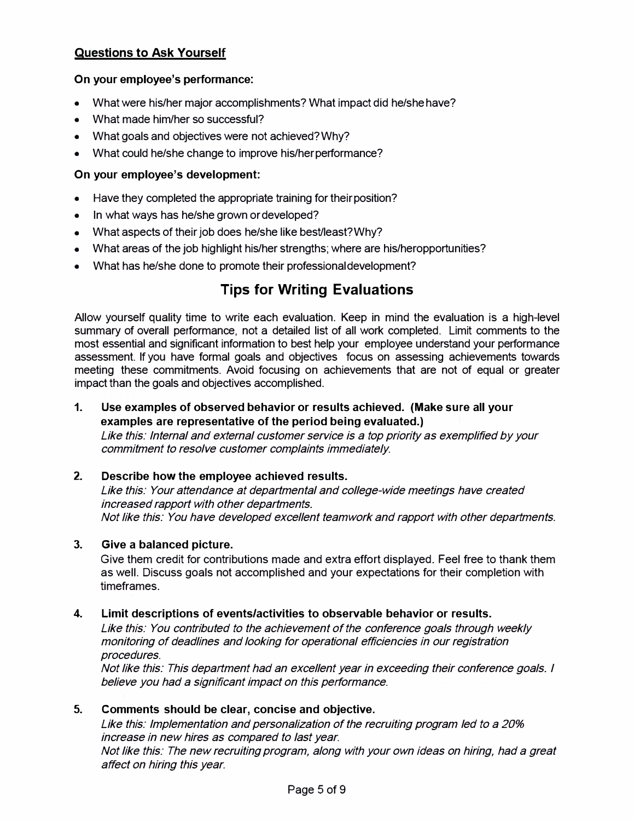### **Questions to Ask Yourself**

### **On your employee's performance:**

- What were his/her major accomplishments? What impact did he/she have?
- What made him/her so successful?
- What goals and objectives were not achieved? Why?
- What could he/she change to improve his/her performance?

### **On your employee's development:**

- Have they completed the appropriate training for their position?
- In what ways has he/she grown or developed?
- What aspects of their job does he/she like best/least?Why?
- What areas of the job highlight his/her strengths; where are his/heropportunities?
- What has he/she done to promote their professional development?

### **Tips for Writing Evaluations**

Allow yourself quality time to write each evaluation. Keep in mind the evaluation is a high-level summary of overall performance, not a detailed list of all work completed. Limit comments to the most essential and significant information to best help your employee understand your performance assessment. If you have formal goals and objectives focus on assessing achievements towards meeting these commitments. Avoid focusing on achievements that are not of equal or greater impact than the goals and objectives accomplished.

**1. Use examples of observed behavior or results achieved. (Make sure all your examples are representative of the period being evaluated.)**

Like this: Internal and external customer service is a top priority as exemplified by your commitment to resolve customer complaints immediately.

### **2. Describe how the employee achieved results.**

Like this: Your attendance at departmental and college-wide meetings have created increased rapport with other departments. Not like this: You have developed excellent teamwork and rapport with other departments.

### **3. Give a balanced picture.**

Give them credit for contributions made and extra effort displayed. Feel free to thank them as well. Discuss goals not accomplished and your expectations for their completion with timeframes.

### **4. Limit descriptions of events/activities to observable behavior or results.**

Like this: You contributed to the achievement of the conference goals through weekly monitoring of deadlines and looking for operational efficiencies in our registration procedures.

Not like this: This department had an excellent year in exceeding their conference goals. I believe you had a significant impact on this performance.

### **5. Comments should be clear, concise and objective.**

Like this: Implementation and personalization of the recruiting program led to a 20% increase in new hires as compared to last year.

Not like this: The new recruiting program, along with your own ideas on hiring, had a great affect on hiring this year.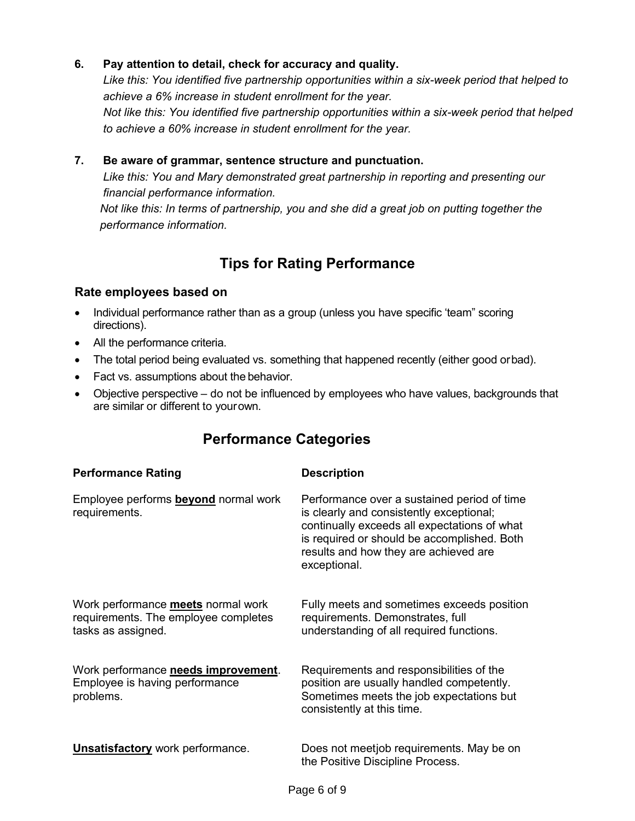### **6. Pay attention to detail, check for accuracy and quality.**

*Like this: You identified five partnership opportunities within a six-week period that helped to achieve a 6% increase in student enrollment for the year.*

*Not like this: You identified five partnership opportunities within a six-week period that helped to achieve a 60% increase in student enrollment for the year.*

### **7. Be aware of grammar, sentence structure and punctuation.**

*Like this: You and Mary demonstrated great partnership in reporting and presenting our financial performance information.*

*Not like this: In terms of partnership, you and she did a great job on putting together the performance information.*

### **Tips for Rating Performance**

### **Rate employees based on**

- Individual performance rather than as a group (unless you have specific 'team" scoring directions).
- All the performance criteria.
- The total period being evaluated vs. something that happened recently (either good or bad).
- Fact vs. assumptions about the behavior.
- Objective perspective do not be influenced by employees who have values, backgrounds that are similar or different to your own.

### **Performance Categories**

| <b>Performance Rating</b>                                                                               | <b>Description</b>                                                                                                                                                                                                                              |
|---------------------------------------------------------------------------------------------------------|-------------------------------------------------------------------------------------------------------------------------------------------------------------------------------------------------------------------------------------------------|
| Employee performs <b>beyond</b> normal work<br>requirements.                                            | Performance over a sustained period of time<br>is clearly and consistently exceptional;<br>continually exceeds all expectations of what<br>is required or should be accomplished. Both<br>results and how they are achieved are<br>exceptional. |
| Work performance <b>meets</b> normal work<br>requirements. The employee completes<br>tasks as assigned. | Fully meets and sometimes exceeds position<br>requirements. Demonstrates, full<br>understanding of all required functions.                                                                                                                      |
| Work performance needs improvement.<br>Employee is having performance<br>problems.                      | Requirements and responsibilities of the<br>position are usually handled competently.<br>Sometimes meets the job expectations but<br>consistently at this time.                                                                                 |
| <b>Unsatisfactory</b> work performance.                                                                 | Does not meetjob requirements. May be on<br>the Positive Discipline Process.                                                                                                                                                                    |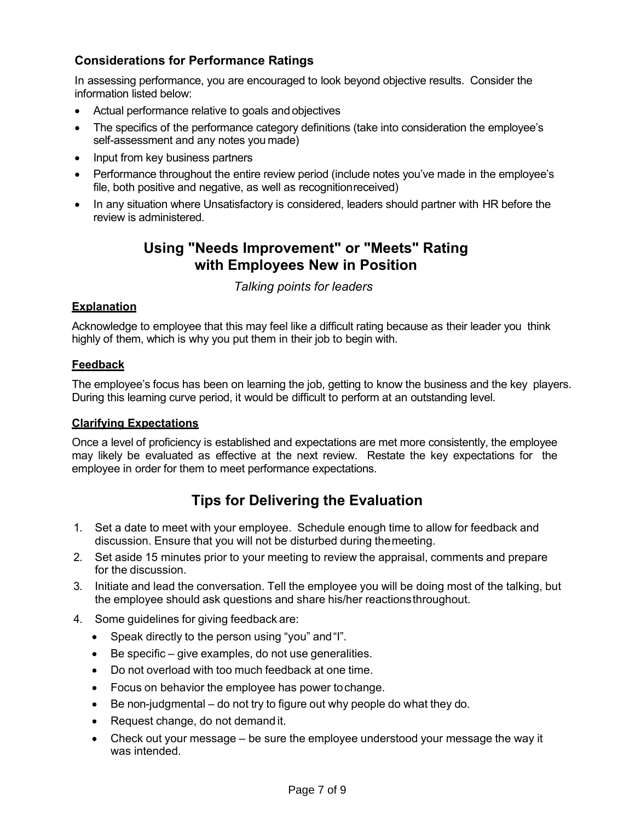### **Considerations for Performance Ratings**

In assessing performance, you are encouraged to look beyond objective results. Consider the information listed below:

- Actual performance relative to goals and objectives
- The specifics of the performance category definitions (take into consideration the employee's self-assessment and any notes you made)
- Input from key business partners
- Performance throughout the entire review period (include notes you've made in the employee's file, both positive and negative, as well as recognition received)
- In any situation where Unsatisfactory is considered, leaders should partner with HR before the review is administered.

### **Using "Needs Improvement" or "Meets" Rating with Employees New in Position**

### *Talking points for leaders*

### **Explanation**

Acknowledge to employee that this may feel like a difficult rating because as their leader you think highly of them, which is why you put them in their job to begin with.

#### **Feedback**

The employee's focus has been on learning the job, getting to know the business and the key players. During this learning curve period, it would be difficult to perform at an outstanding level.

### **Clarifying Expectations**

Once a level of proficiency is established and expectations are met more consistently, the employee may likely be evaluated as effective at the next review. Restate the key expectations for the employee in order for them to meet performance expectations.

# **Tips for Delivering the Evaluation**

- 1. Set a date to meet with your employee. Schedule enough time to allow for feedback and discussion. Ensure that you will not be disturbed during the meeting.
- 2. Set aside 15 minutes prior to your meeting to review the appraisal, comments and prepare for the discussion.
- 3. Initiate and lead the conversation. Tell the employee you will be doing most of the talking, but the employee should ask questions and share his/her reactions throughout.
- 4. Some guidelines for giving feedback are:
	- Speak directly to the person using "you" and "I".
	- Be specific give examples, do not use generalities.
	- Do not overload with too much feedback at one time.
	- Focus on behavior the employee has power tochange.
	- Be non-judgmental do not try to figure out why people do what they do.
	- Request change, do not demand it.
	- Check out your message be sure the employee understood your message the way it was intended.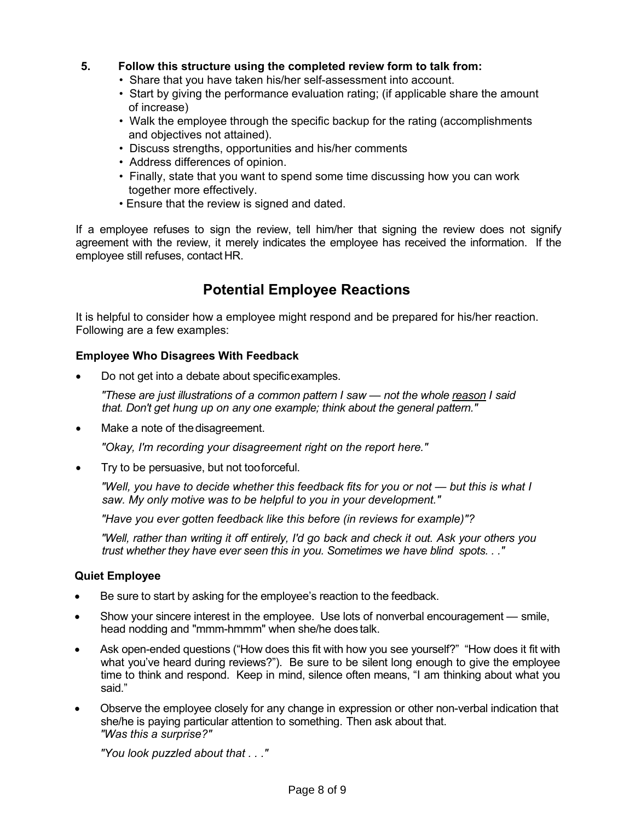### **5. Follow this structure using the completed review form to talk from:**

- Share that you have taken his/her self-assessment into account.
- Start by giving the performance evaluation rating; (if applicable share the amount of increase)
- Walk the employee through the specific backup for the rating (accomplishments and objectives not attained).
- Discuss strengths, opportunities and his/her comments
- Address differences of opinion.
- Finally, state that you want to spend some time discussing how you can work together more effectively.
- Ensure that the review is signed and dated.

If a employee refuses to sign the review, tell him/her that signing the review does not signify agreement with the review, it merely indicates the employee has received the information. If the employee still refuses, contact HR.

# **Potential Employee Reactions**

It is helpful to consider how a employee might respond and be prepared for his/her reaction. Following are a few examples:

### **Employee Who Disagrees With Feedback**

• Do not get into a debate about specific examples.

*"These are just illustrations of a common pattern I saw — not the whole reason I said that. Don't get hung up on any one example; think about the general pattern."*

• Make a note of the disagreement.

*"Okay, I'm recording your disagreement right on the report here."*

• Try to be persuasive, but not too forceful.

*"Well, you have to decide whether this feedback fits for you or not — but this is what I saw. My only motive was to be helpful to you in your development."*

*"Have you ever gotten feedback like this before (in reviews for example)"?*

*"Well, rather than writing it off entirely, I'd go back and check it out. Ask your others you trust whether they have ever seen this in you. Sometimes we have blind spots. . ."*

### **Quiet Employee**

- Be sure to start by asking for the employee's reaction to the feedback.
- Show your sincere interest in the employee. Use lots of nonverbal encouragement smile, head nodding and "mmm-hmmm" when she/he does talk.
- Ask open-ended questions ("How does this fit with how you see yourself?" "How does it fit with what you've heard during reviews?"). Be sure to be silent long enough to give the employee time to think and respond. Keep in mind, silence often means, "I am thinking about what you said."
- Observe the employee closely for any change in expression or other non-verbal indication that she/he is paying particular attention to something. Then ask about that. *"Was this a surprise?"*

*"You look puzzled about that . . ."*